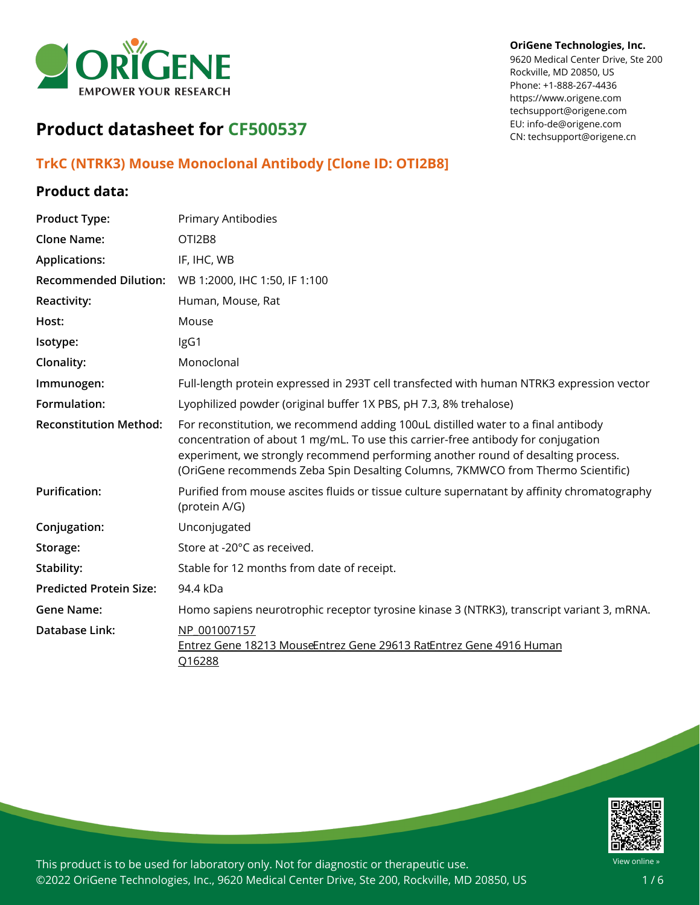

#### **OriGene Technologies, Inc.**

9620 Medical Center Drive, Ste 200 Rockville, MD 20850, US Phone: +1-888-267-4436 https://www.origene.com techsupport@origene.com EU: info-de@origene.com CN: techsupport@origene.cn

# **Product datasheet for CF500537**

### **TrkC (NTRK3) Mouse Monoclonal Antibody [Clone ID: OTI2B8]**

### **Product data:**

| <b>Product Type:</b>           | <b>Primary Antibodies</b>                                                                                                                                                                                                                                                                                                                     |
|--------------------------------|-----------------------------------------------------------------------------------------------------------------------------------------------------------------------------------------------------------------------------------------------------------------------------------------------------------------------------------------------|
| <b>Clone Name:</b>             | OTI2B8                                                                                                                                                                                                                                                                                                                                        |
| <b>Applications:</b>           | IF, IHC, WB                                                                                                                                                                                                                                                                                                                                   |
| <b>Recommended Dilution:</b>   | WB 1:2000, IHC 1:50, IF 1:100                                                                                                                                                                                                                                                                                                                 |
| <b>Reactivity:</b>             | Human, Mouse, Rat                                                                                                                                                                                                                                                                                                                             |
| Host:                          | Mouse                                                                                                                                                                                                                                                                                                                                         |
| Isotype:                       | IgG1                                                                                                                                                                                                                                                                                                                                          |
| Clonality:                     | Monoclonal                                                                                                                                                                                                                                                                                                                                    |
| Immunogen:                     | Full-length protein expressed in 293T cell transfected with human NTRK3 expression vector                                                                                                                                                                                                                                                     |
| Formulation:                   | Lyophilized powder (original buffer 1X PBS, pH 7.3, 8% trehalose)                                                                                                                                                                                                                                                                             |
| <b>Reconstitution Method:</b>  | For reconstitution, we recommend adding 100uL distilled water to a final antibody<br>concentration of about 1 mg/mL. To use this carrier-free antibody for conjugation<br>experiment, we strongly recommend performing another round of desalting process.<br>(OriGene recommends Zeba Spin Desalting Columns, 7KMWCO from Thermo Scientific) |
| <b>Purification:</b>           | Purified from mouse ascites fluids or tissue culture supernatant by affinity chromatography<br>(protein A/G)                                                                                                                                                                                                                                  |
| Conjugation:                   | Unconjugated                                                                                                                                                                                                                                                                                                                                  |
| Storage:                       | Store at -20°C as received.                                                                                                                                                                                                                                                                                                                   |
| Stability:                     | Stable for 12 months from date of receipt.                                                                                                                                                                                                                                                                                                    |
| <b>Predicted Protein Size:</b> | 94.4 kDa                                                                                                                                                                                                                                                                                                                                      |
| <b>Gene Name:</b>              | Homo sapiens neurotrophic receptor tyrosine kinase 3 (NTRK3), transcript variant 3, mRNA.                                                                                                                                                                                                                                                     |
| Database Link:                 | NP 001007157<br>Entrez Gene 18213 MouseEntrez Gene 29613 RatEntrez Gene 4916 Human<br>Q16288                                                                                                                                                                                                                                                  |

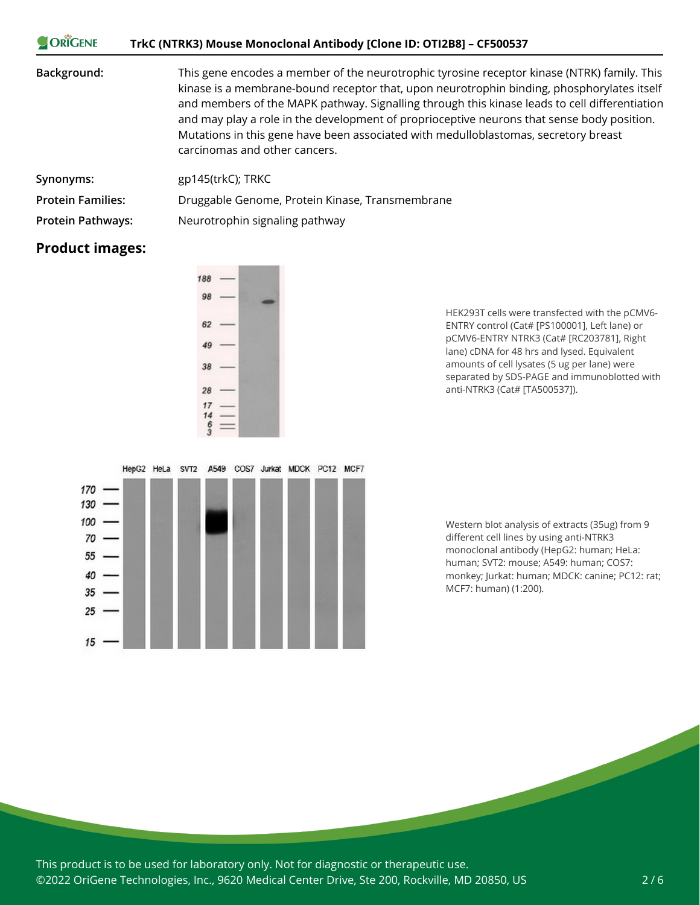| ORIGENE                  | TrkC (NTRK3) Mouse Monoclonal Antibody [Clone ID: OTI2B8] - CF500537                                                                                                                                                                                                                                                                                                                                                                                                                                             |
|--------------------------|------------------------------------------------------------------------------------------------------------------------------------------------------------------------------------------------------------------------------------------------------------------------------------------------------------------------------------------------------------------------------------------------------------------------------------------------------------------------------------------------------------------|
| Background:              | This gene encodes a member of the neurotrophic tyrosine receptor kinase (NTRK) family. This<br>kinase is a membrane-bound receptor that, upon neurotrophin binding, phosphorylates itself<br>and members of the MAPK pathway. Signalling through this kinase leads to cell differentiation<br>and may play a role in the development of proprioceptive neurons that sense body position.<br>Mutations in this gene have been associated with medulloblastomas, secretory breast<br>carcinomas and other cancers. |
| Synonyms:                | gp145(trkC); TRKC                                                                                                                                                                                                                                                                                                                                                                                                                                                                                                |
| <b>Protein Families:</b> | Druggable Genome, Protein Kinase, Transmembrane                                                                                                                                                                                                                                                                                                                                                                                                                                                                  |
| <b>Protein Pathways:</b> | Neurotrophin signaling pathway                                                                                                                                                                                                                                                                                                                                                                                                                                                                                   |

## **Product images:**



HEK293T cells were transfected with the pCMV6- ENTRY control (Cat# [PS100001], Left lane) or pCMV6-ENTRY NTRK3 (Cat# [RC203781], Right lane) cDNA for 48 hrs and lysed. Equivalent amounts of cell lysates (5 ug per lane) were separated by SDS-PAGE and immunoblotted with anti-NTRK3 (Cat# [TA500537]).



Western blot analysis of extracts (35ug) from 9 different cell lines by using anti-NTRK3 monoclonal antibody (HepG2: human; HeLa: human; SVT2: mouse; A549: human; COS7: monkey; Jurkat: human; MDCK: canine; PC12: rat; MCF7: human) (1:200).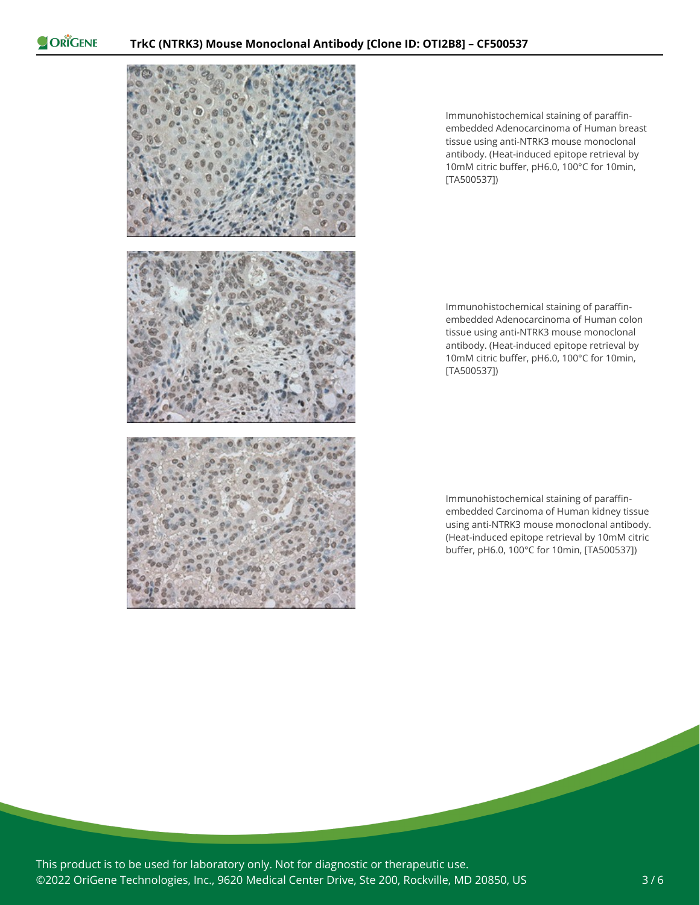

Immunohistochemical staining of paraffinembedded Adenocarcinoma of Human breast tissue using anti-NTRK3 mouse monoclonal antibody. (Heat-induced epitope retrieval by 10mM citric buffer, pH6.0, 100°C for 10min, [TA500537])

Immunohistochemical staining of paraffinembedded Adenocarcinoma of Human colon tissue using anti-NTRK3 mouse monoclonal antibody. (Heat-induced epitope retrieval by 10mM citric buffer, pH6.0, 100°C for 10min, [TA500537])

Immunohistochemical staining of paraffinembedded Carcinoma of Human kidney tissue using anti-NTRK3 mouse monoclonal antibody. (Heat-induced epitope retrieval by 10mM citric buffer, pH6.0, 100°C for 10min, [TA500537])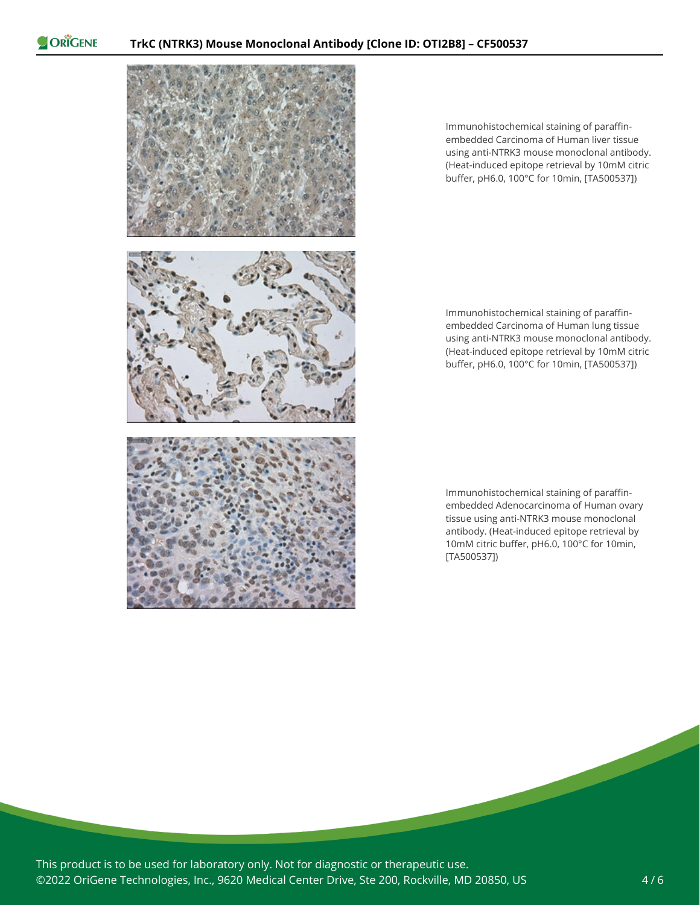

Immunohistochemical staining of paraffinembedded Carcinoma of Human liver tissue using anti-NTRK3 mouse monoclonal antibody. (Heat-induced epitope retrieval by 10mM citric buffer, pH6.0, 100°C for 10min, [TA500537])

Immunohistochemical staining of paraffinembedded Carcinoma of Human lung tissue using anti-NTRK3 mouse monoclonal antibody. (Heat-induced epitope retrieval by 10mM citric buffer, pH6.0, 100°C for 10min, [TA500537])

Immunohistochemical staining of paraffinembedded Adenocarcinoma of Human ovary tissue using anti-NTRK3 mouse monoclonal antibody. (Heat-induced epitope retrieval by 10mM citric buffer, pH6.0, 100°C for 10min, [TA500537])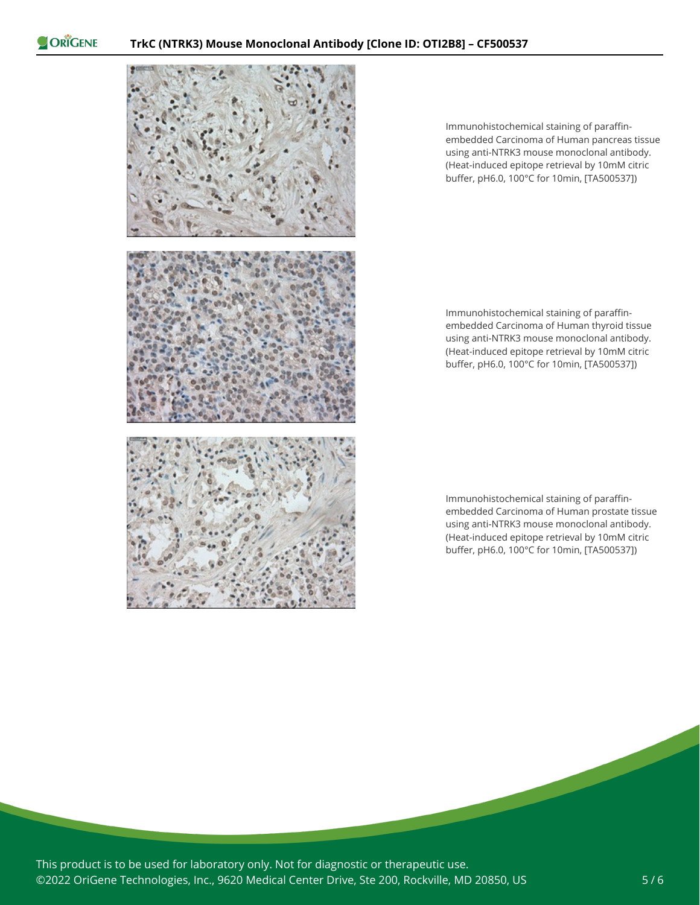

Immunohistochemical staining of paraffinembedded Carcinoma of Human pancreas tissue using anti-NTRK3 mouse monoclonal antibody. (Heat-induced epitope retrieval by 10mM citric buffer, pH6.0, 100°C for 10min, [TA500537])

Immunohistochemical staining of paraffinembedded Carcinoma of Human thyroid tissue using anti-NTRK3 mouse monoclonal antibody. (Heat-induced epitope retrieval by 10mM citric buffer, pH6.0, 100°C for 10min, [TA500537])

Immunohistochemical staining of paraffinembedded Carcinoma of Human prostate tissue using anti-NTRK3 mouse monoclonal antibody. (Heat-induced epitope retrieval by 10mM citric buffer, pH6.0, 100°C for 10min, [TA500537])